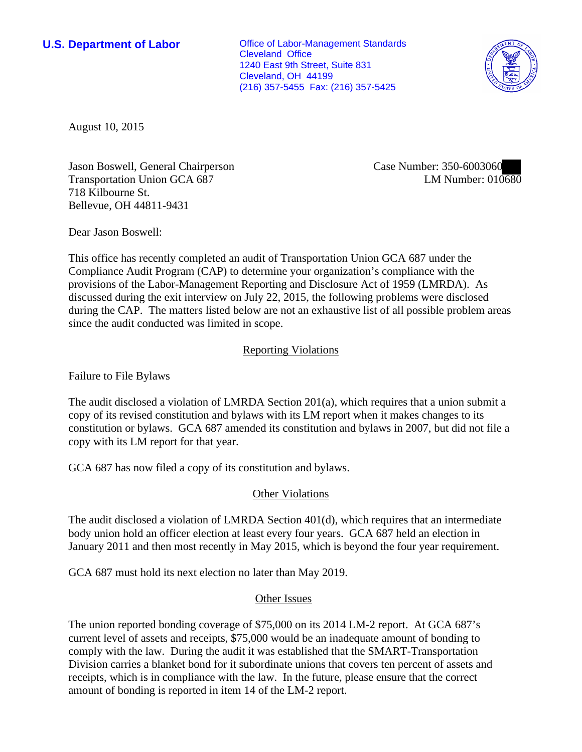**U.S. Department of Labor Conservative Conservative Conservative Conservative Conservative Conservative Conservative Conservative Conservative Conservative Conservative Conservative Conservative Conservative Conservative** Cleveland Office 1240 East 9th Street, Suite 831 Cleveland, OH 44199 (216) 357-5455 Fax: (216) 357-5425



August 10, 2015

Jason Boswell, General Chairperson Transportation Union GCA 687 718 Kilbourne St. Bellevue, OH 44811-9431

Case Number: 350-6003060 LM Number: 010680

Dear Jason Boswell:

This office has recently completed an audit of Transportation Union GCA 687 under the Compliance Audit Program (CAP) to determine your organization's compliance with the provisions of the Labor-Management Reporting and Disclosure Act of 1959 (LMRDA). As discussed during the exit interview on July 22, 2015, the following problems were disclosed during the CAP. The matters listed below are not an exhaustive list of all possible problem areas since the audit conducted was limited in scope.

## Reporting Violations

Failure to File Bylaws

The audit disclosed a violation of LMRDA Section 201(a), which requires that a union submit a copy of its revised constitution and bylaws with its LM report when it makes changes to its constitution or bylaws. GCA 687 amended its constitution and bylaws in 2007, but did not file a copy with its LM report for that year.

GCA 687 has now filed a copy of its constitution and bylaws.

## Other Violations

The audit disclosed a violation of LMRDA Section 401(d), which requires that an intermediate body union hold an officer election at least every four years. GCA 687 held an election in January 2011 and then most recently in May 2015, which is beyond the four year requirement.

GCA 687 must hold its next election no later than May 2019.

## Other Issues

The union reported bonding coverage of \$75,000 on its 2014 LM-2 report. At GCA 687's current level of assets and receipts, \$75,000 would be an inadequate amount of bonding to comply with the law. During the audit it was established that the SMART-Transportation Division carries a blanket bond for it subordinate unions that covers ten percent of assets and receipts, which is in compliance with the law. In the future, please ensure that the correct amount of bonding is reported in item 14 of the LM-2 report.